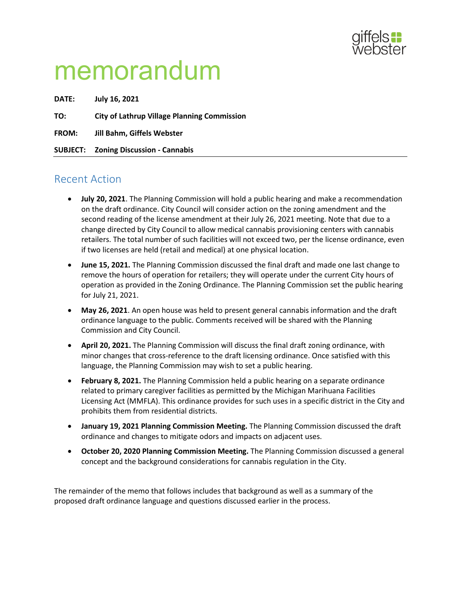

# memorandum

**DATE: July 16, 2021 TO: City of Lathrup Village Planning Commission FROM: Jill Bahm, Giffels Webster SUBJECT: Zoning Discussion - Cannabis**

# Recent Action

- **July 20, 2021**. The Planning Commission will hold a public hearing and make a recommendation on the draft ordinance. City Council will consider action on the zoning amendment and the second reading of the license amendment at their July 26, 2021 meeting. Note that due to a change directed by City Council to allow medical cannabis provisioning centers with cannabis retailers. The total number of such facilities will not exceed two, per the license ordinance, even if two licenses are held (retail and medical) at one physical location.
- **June 15, 2021.** The Planning Commission discussed the final draft and made one last change to remove the hours of operation for retailers; they will operate under the current City hours of operation as provided in the Zoning Ordinance. The Planning Commission set the public hearing for July 21, 2021.
- **May 26, 2021**. An open house was held to present general cannabis information and the draft ordinance language to the public. Comments received will be shared with the Planning Commission and City Council.
- **April 20, 2021.** The Planning Commission will discuss the final draft zoning ordinance, with minor changes that cross-reference to the draft licensing ordinance. Once satisfied with this language, the Planning Commission may wish to set a public hearing.
- **February 8, 2021.** The Planning Commission held a public hearing on a separate ordinance related to primary caregiver facilities as permitted by the Michigan Marihuana Facilities Licensing Act (MMFLA). This ordinance provides for such uses in a specific district in the City and prohibits them from residential districts.
- **January 19, 2021 Planning Commission Meeting.** The Planning Commission discussed the draft ordinance and changes to mitigate odors and impacts on adjacent uses.
- **October 20, 2020 Planning Commission Meeting.** The Planning Commission discussed a general concept and the background considerations for cannabis regulation in the City.

The remainder of the memo that follows includes that background as well as a summary of the proposed draft ordinance language and questions discussed earlier in the process.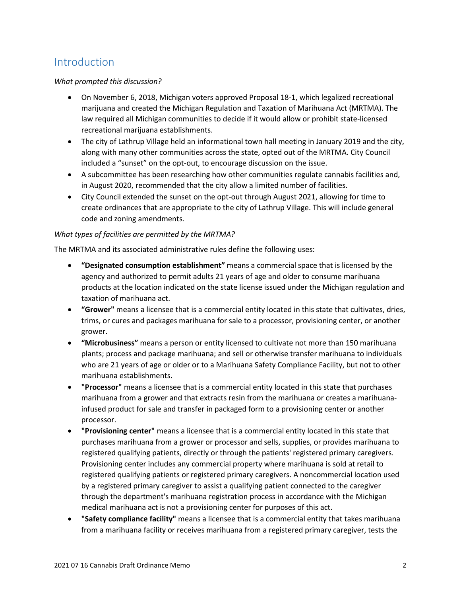# Introduction

# *What prompted this discussion?*

- On November 6, 2018, Michigan voters approved Proposal 18-1, which legalized recreational marijuana and created the Michigan Regulation and Taxation of Marihuana Act (MRTMA). The law required all Michigan communities to decide if it would allow or prohibit state-licensed recreational marijuana establishments.
- The city of Lathrup Village held an informational town hall meeting in January 2019 and the city, along with many other communities across the state, opted out of the MRTMA. City Council included a "sunset" on the opt-out, to encourage discussion on the issue.
- A subcommittee has been researching how other communities regulate cannabis facilities and, in August 2020, recommended that the city allow a limited number of facilities.
- City Council extended the sunset on the opt-out through August 2021, allowing for time to create ordinances that are appropriate to the city of Lathrup Village. This will include general code and zoning amendments.

# *What types of facilities are permitted by the MRTMA?*

The MRTMA and its associated administrative rules define the following uses:

- **"Designated consumption establishment"** means a commercial space that is licensed by the agency and authorized to permit adults 21 years of age and older to consume marihuana products at the location indicated on the state license issued under the Michigan regulation and taxation of marihuana act.
- **"Grower"** means a licensee that is a commercial entity located in this state that cultivates, dries, trims, or cures and packages marihuana for sale to a processor, provisioning center, or another grower.
- **"Microbusiness"** means a person or entity licensed to cultivate not more than 150 marihuana plants; process and package marihuana; and sell or otherwise transfer marihuana to individuals who are 21 years of age or older or to a Marihuana Safety Compliance Facility, but not to other marihuana establishments.
- **"Processor"** means a licensee that is a commercial entity located in this state that purchases marihuana from a grower and that extracts resin from the marihuana or creates a marihuanainfused product for sale and transfer in packaged form to a provisioning center or another processor.
- **"Provisioning center"** means a licensee that is a commercial entity located in this state that purchases marihuana from a grower or processor and sells, supplies, or provides marihuana to registered qualifying patients, directly or through the patients' registered primary caregivers. Provisioning center includes any commercial property where marihuana is sold at retail to registered qualifying patients or registered primary caregivers. A noncommercial location used by a registered primary caregiver to assist a qualifying patient connected to the caregiver through the department's marihuana registration process in accordance with the Michigan medical marihuana act is not a provisioning center for purposes of this act.
- **"Safety compliance facility"** means a licensee that is a commercial entity that takes marihuana from a marihuana facility or receives marihuana from a registered primary caregiver, tests the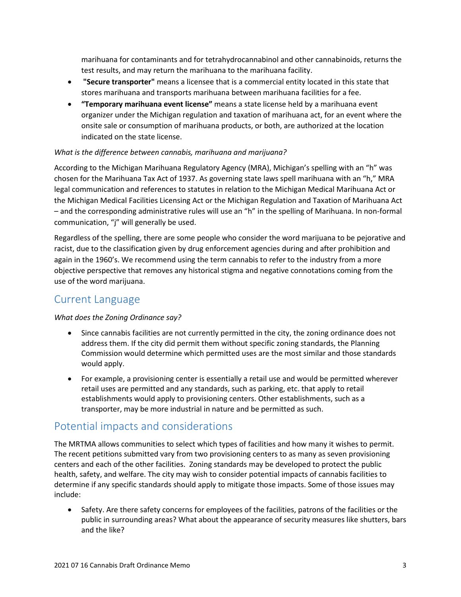marihuana for contaminants and for tetrahydrocannabinol and other cannabinoids, returns the test results, and may return the marihuana to the marihuana facility.

- **"Secure transporter"** means a licensee that is a commercial entity located in this state that stores marihuana and transports marihuana between marihuana facilities for a fee.
- **"Temporary marihuana event license"** means a state license held by a marihuana event organizer under the Michigan regulation and taxation of marihuana act, for an event where the onsite sale or consumption of marihuana products, or both, are authorized at the location indicated on the state license.

# *What is the difference between cannabis, marihuana and marijuana?*

According to the Michigan Marihuana Regulatory Agency (MRA), Michigan's spelling with an "h" was chosen for the Marihuana Tax Act of 1937. As governing state laws spell marihuana with an "h," MRA legal communication and references to statutes in relation to the Michigan Medical Marihuana Act or the Michigan Medical Facilities Licensing Act or the Michigan Regulation and Taxation of Marihuana Act – and the corresponding administrative rules will use an "h" in the spelling of Marihuana. In non-formal communication, "j" will generally be used.

Regardless of the spelling, there are some people who consider the word marijuana to be pejorative and racist, due to the classification given by drug enforcement agencies during and after prohibition and again in the 1960's. We recommend using the term cannabis to refer to the industry from a more objective perspective that removes any historical stigma and negative connotations coming from the use of the word marijuana.

# Current Language

*What does the Zoning Ordinance say?*

- Since cannabis facilities are not currently permitted in the city, the zoning ordinance does not address them. If the city did permit them without specific zoning standards, the Planning Commission would determine which permitted uses are the most similar and those standards would apply.
- For example, a provisioning center is essentially a retail use and would be permitted wherever retail uses are permitted and any standards, such as parking, etc. that apply to retail establishments would apply to provisioning centers. Other establishments, such as a transporter, may be more industrial in nature and be permitted as such.

# Potential impacts and considerations

The MRTMA allows communities to select which types of facilities and how many it wishes to permit. The recent petitions submitted vary from two provisioning centers to as many as seven provisioning centers and each of the other facilities. Zoning standards may be developed to protect the public health, safety, and welfare. The city may wish to consider potential impacts of cannabis facilities to determine if any specific standards should apply to mitigate those impacts. Some of those issues may include:

• Safety. Are there safety concerns for employees of the facilities, patrons of the facilities or the public in surrounding areas? What about the appearance of security measures like shutters, bars and the like?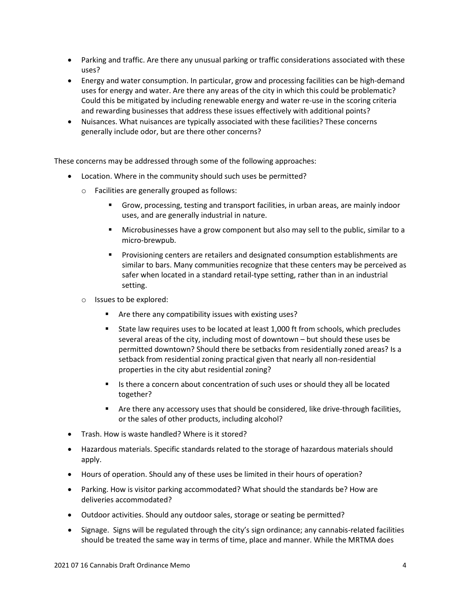- Parking and traffic. Are there any unusual parking or traffic considerations associated with these uses?
- Energy and water consumption. In particular, grow and processing facilities can be high-demand uses for energy and water. Are there any areas of the city in which this could be problematic? Could this be mitigated by including renewable energy and water re-use in the scoring criteria and rewarding businesses that address these issues effectively with additional points?
- Nuisances. What nuisances are typically associated with these facilities? These concerns generally include odor, but are there other concerns?

These concerns may be addressed through some of the following approaches:

- Location. Where in the community should such uses be permitted?
	- o Facilities are generally grouped as follows:
		- Grow, processing, testing and transport facilities, in urban areas, are mainly indoor uses, and are generally industrial in nature.
		- Microbusinesses have a grow component but also may sell to the public, similar to a micro-brewpub.
		- Provisioning centers are retailers and designated consumption establishments are similar to bars. Many communities recognize that these centers may be perceived as safer when located in a standard retail-type setting, rather than in an industrial setting.
	- o Issues to be explored:
		- **Are there any compatibility issues with existing uses?**
		- State law requires uses to be located at least 1,000 ft from schools, which precludes several areas of the city, including most of downtown – but should these uses be permitted downtown? Should there be setbacks from residentially zoned areas? Is a setback from residential zoning practical given that nearly all non-residential properties in the city abut residential zoning?
		- Is there a concern about concentration of such uses or should they all be located together?
		- Are there any accessory uses that should be considered, like drive-through facilities, or the sales of other products, including alcohol?
- Trash. How is waste handled? Where is it stored?
- Hazardous materials. Specific standards related to the storage of hazardous materials should apply.
- Hours of operation. Should any of these uses be limited in their hours of operation?
- Parking. How is visitor parking accommodated? What should the standards be? How are deliveries accommodated?
- Outdoor activities. Should any outdoor sales, storage or seating be permitted?
- Signage. Signs will be regulated through the city's sign ordinance; any cannabis-related facilities should be treated the same way in terms of time, place and manner. While the MRTMA does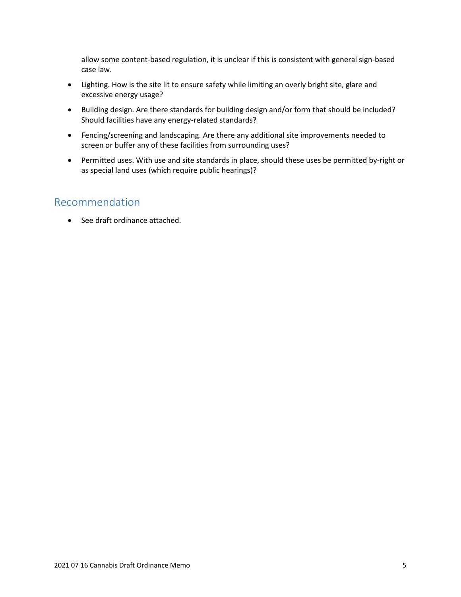allow some content-based regulation, it is unclear if this is consistent with general sign-based case law.

- Lighting. How is the site lit to ensure safety while limiting an overly bright site, glare and excessive energy usage?
- Building design. Are there standards for building design and/or form that should be included? Should facilities have any energy-related standards?
- Fencing/screening and landscaping. Are there any additional site improvements needed to screen or buffer any of these facilities from surrounding uses?
- Permitted uses. With use and site standards in place, should these uses be permitted by-right or as special land uses (which require public hearings)?

# Recommendation

• See draft ordinance attached.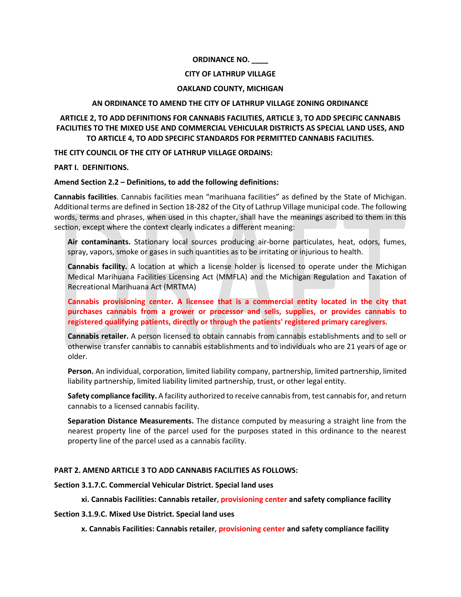#### **ORDINANCE NO. \_\_\_\_**

#### **CITY OF LATHRUP VILLAGE**

#### **OAKLAND COUNTY, MICHIGAN**

#### **AN ORDINANCE TO AMEND THE CITY OF LATHRUP VILLAGE ZONING ORDINANCE**

# **ARTICLE 2, TO ADD DEFINITIONS FOR CANNABIS FACILITIES, ARTICLE 3, TO ADD SPECIFIC CANNABIS FACILITIES TO THE MIXED USE AND COMMERCIAL VEHICULAR DISTRICTS AS SPECIAL LAND USES, AND TO ARTICLE 4, TO ADD SPECIFIC STANDARDS FOR PERMITTED CANNABIS FACILITIES.**

**THE CITY COUNCIL OF THE CITY OF LATHRUP VILLAGE ORDAINS:**

#### **PART I. DEFINITIONS.**

#### **Amend Section 2.2 – Definitions, to add the following definitions:**

**Cannabis facilities**. Cannabis facilities mean "marihuana facilities" as defined by the State of Michigan. Additional terms are defined in Section 18-282 of the City of Lathrup Village municipal code. The following words, terms and phrases, when used in this chapter, shall have the meanings ascribed to them in this section, except where the context clearly indicates a different meaning:

**Air contaminants.** Stationary local sources producing air-borne particulates, heat, odors, fumes, spray, vapors, smoke or gases in such quantities as to be irritating or injurious to health.

**Cannabis facility.** A location at which a license holder is licensed to operate under the Michigan Medical Marihuana Facilities Licensing Act (MMFLA) and the Michigan Regulation and Taxation of Recreational Marihuana Act (MRTMA)

**Cannabis provisioning center. A licensee that is a commercial entity located in the city that purchases cannabis from a grower or processor and sells, supplies, or provides cannabis to registered qualifying patients, directly or through the patients' registered primary caregivers.**

**Cannabis retailer.** A person licensed to obtain cannabis from cannabis establishments and to sell or otherwise transfer cannabis to cannabis establishments and to individuals who are 21 years of age or older.

**Person.** An individual, corporation, limited liability company, partnership, limited partnership, limited liability partnership, limited liability limited partnership, trust, or other legal entity.

**Safety compliance facility.** A facility authorized to receive cannabisfrom, test cannabisfor, and return cannabis to a licensed cannabis facility.

**Separation Distance Measurements.** The distance computed by measuring a straight line from the nearest property line of the parcel used for the purposes stated in this ordinance to the nearest property line of the parcel used as a cannabis facility.

# **PART 2. AMEND ARTICLE 3 TO ADD CANNABIS FACILITIES AS FOLLOWS:**

#### **Section 3.1.7.C. Commercial Vehicular District. Special land uses**

# **xi. Cannabis Facilities: Cannabis retailer, provisioning center and safety compliance facility**

# **Section 3.1.9.C. Mixed Use District. Special land uses**

**x. Cannabis Facilities: Cannabis retailer, provisioning center and safety compliance facility**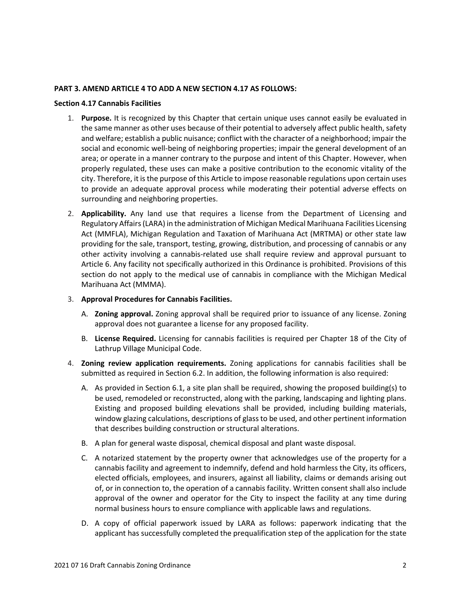#### **PART 3. AMEND ARTICLE 4 TO ADD A NEW SECTION 4.17 AS FOLLOWS:**

#### **Section 4.17 Cannabis Facilities**

- 1. **Purpose.** It is recognized by this Chapter that certain unique uses cannot easily be evaluated in the same manner as other uses because of their potential to adversely affect public health, safety and welfare; establish a public nuisance; conflict with the character of a neighborhood; impair the social and economic well-being of neighboring properties; impair the general development of an area; or operate in a manner contrary to the purpose and intent of this Chapter. However, when properly regulated, these uses can make a positive contribution to the economic vitality of the city. Therefore, it is the purpose of this Article to impose reasonable regulations upon certain uses to provide an adequate approval process while moderating their potential adverse effects on surrounding and neighboring properties.
- 2. **Applicability.** Any land use that requires a license from the Department of Licensing and Regulatory Affairs (LARA) in the administration of Michigan Medical Marihuana Facilities Licensing Act (MMFLA), Michigan Regulation and Taxation of Marihuana Act (MRTMA) or other state law providing for the sale, transport, testing, growing, distribution, and processing of cannabis or any other activity involving a cannabis-related use shall require review and approval pursuant to Article 6. Any facility not specifically authorized in this Ordinance is prohibited. Provisions of this section do not apply to the medical use of cannabis in compliance with the Michigan Medical Marihuana Act (MMMA).
- 3. **Approval Procedures for Cannabis Facilities.**
	- A. **Zoning approval.** Zoning approval shall be required prior to issuance of any license. Zoning approval does not guarantee a license for any proposed facility.
	- B. **License Required.** Licensing for cannabis facilities is required per Chapter 18 of the City of Lathrup Village Municipal Code.
- 4. **Zoning review application requirements.** Zoning applications for cannabis facilities shall be submitted as required in Section 6.2. In addition, the following information is also required:
	- A. As provided in Section 6.1, a site plan shall be required, showing the proposed building(s) to be used, remodeled or reconstructed, along with the parking, landscaping and lighting plans. Existing and proposed building elevations shall be provided, including building materials, window glazing calculations, descriptions of glass to be used, and other pertinent information that describes building construction or structural alterations.
	- B. A plan for general waste disposal, chemical disposal and plant waste disposal.
	- C. A notarized statement by the property owner that acknowledges use of the property for a cannabis facility and agreement to indemnify, defend and hold harmless the City, its officers, elected officials, employees, and insurers, against all liability, claims or demands arising out of, or in connection to, the operation of a cannabis facility. Written consent shall also include approval of the owner and operator for the City to inspect the facility at any time during normal business hours to ensure compliance with applicable laws and regulations.
	- D. A copy of official paperwork issued by LARA as follows: paperwork indicating that the applicant has successfully completed the prequalification step of the application for the state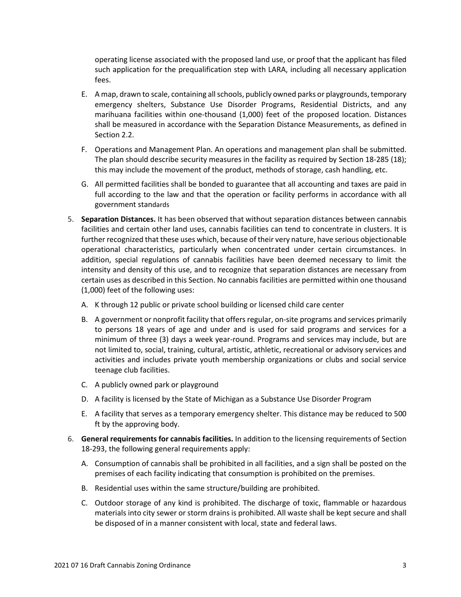operating license associated with the proposed land use, or proof that the applicant has filed such application for the prequalification step with LARA, including all necessary application fees.

- E. A map, drawn to scale, containing all schools, publicly owned parks or playgrounds, temporary emergency shelters, Substance Use Disorder Programs, Residential Districts, and any marihuana facilities within one-thousand (1,000) feet of the proposed location. Distances shall be measured in accordance with the Separation Distance Measurements, as defined in Section 2.2.
- F. Operations and Management Plan. An operations and management plan shall be submitted. The plan should describe security measures in the facility as required by Section 18-285 (18); this may include the movement of the product, methods of storage, cash handling, etc.
- G. All permitted facilities shall be bonded to guarantee that all accounting and taxes are paid in full according to the law and that the operation or facility performs in accordance with all government standards
- 5. **Separation Distances.** It has been observed that without separation distances between cannabis facilities and certain other land uses, cannabis facilities can tend to concentrate in clusters. It is further recognized that these uses which, because of their very nature, have serious objectionable operational characteristics, particularly when concentrated under certain circumstances. In addition, special regulations of cannabis facilities have been deemed necessary to limit the intensity and density of this use, and to recognize that separation distances are necessary from certain uses as described in this Section. No cannabis facilities are permitted within one thousand (1,000) feet of the following uses:
	- A. K through 12 public or private school building or licensed child care center
	- B. A government or nonprofit facility that offers regular, on-site programs and services primarily to persons 18 years of age and under and is used for said programs and services for a minimum of three (3) days a week year-round. Programs and services may include, but are not limited to, social, training, cultural, artistic, athletic, recreational or advisory services and activities and includes private youth membership organizations or clubs and social service teenage club facilities.
	- C. A publicly owned park or playground
	- D. A facility is licensed by the State of Michigan as a Substance Use Disorder Program
	- E. A facility that serves as a temporary emergency shelter. This distance may be reduced to 500 ft by the approving body.
- 6. **General requirements for cannabis facilities.** In addition to the licensing requirements of Section 18-293, the following general requirements apply:
	- A. Consumption of cannabis shall be prohibited in all facilities, and a sign shall be posted on the premises of each facility indicating that consumption is prohibited on the premises.
	- B. Residential uses within the same structure/building are prohibited.
	- C. Outdoor storage of any kind is prohibited. The discharge of toxic, flammable or hazardous materials into city sewer or storm drains is prohibited. All waste shall be kept secure and shall be disposed of in a manner consistent with local, state and federal laws.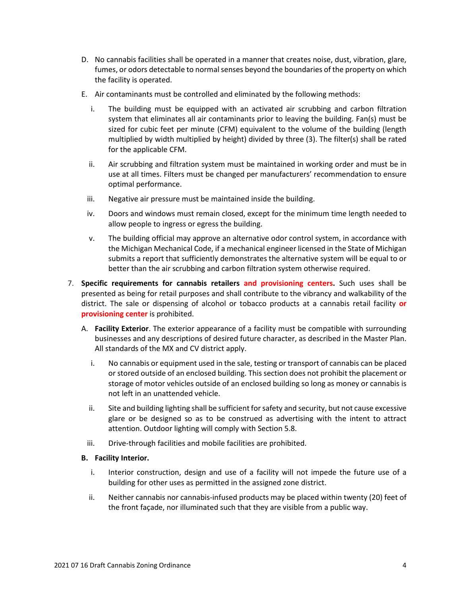- D. No cannabis facilities shall be operated in a manner that creates noise, dust, vibration, glare, fumes, or odors detectable to normal senses beyond the boundaries of the property on which the facility is operated.
- E. Air contaminants must be controlled and eliminated by the following methods:
	- i. The building must be equipped with an activated air scrubbing and carbon filtration system that eliminates all air contaminants prior to leaving the building. Fan(s) must be sized for cubic feet per minute (CFM) equivalent to the volume of the building (length multiplied by width multiplied by height) divided by three (3). The filter(s) shall be rated for the applicable CFM.
	- ii. Air scrubbing and filtration system must be maintained in working order and must be in use at all times. Filters must be changed per manufacturers' recommendation to ensure optimal performance.
	- iii. Negative air pressure must be maintained inside the building.
	- iv. Doors and windows must remain closed, except for the minimum time length needed to allow people to ingress or egress the building.
	- v. The building official may approve an alternative odor control system, in accordance with the Michigan Mechanical Code, if a mechanical engineer licensed in the State of Michigan submits a report that sufficiently demonstrates the alternative system will be equal to or better than the air scrubbing and carbon filtration system otherwise required.
- 7. **Specific requirements for cannabis retailers and provisioning centers.** Such uses shall be presented as being for retail purposes and shall contribute to the vibrancy and walkability of the district. The sale or dispensing of alcohol or tobacco products at a cannabis retail facility **or provisioning center** is prohibited.
	- A. **Facility Exterior**. The exterior appearance of a facility must be compatible with surrounding businesses and any descriptions of desired future character, as described in the Master Plan. All standards of the MX and CV district apply.
		- i. No cannabis or equipment used in the sale, testing or transport of cannabis can be placed or stored outside of an enclosed building. This section does not prohibit the placement or storage of motor vehicles outside of an enclosed building so long as money or cannabis is not left in an unattended vehicle.
		- ii. Site and building lighting shall be sufficient for safety and security, but not cause excessive glare or be designed so as to be construed as advertising with the intent to attract attention. Outdoor lighting will comply with Section 5.8.
		- iii. Drive-through facilities and mobile facilities are prohibited.

# **B. Facility Interior.**

- i. Interior construction, design and use of a facility will not impede the future use of a building for other uses as permitted in the assigned zone district.
- ii. Neither cannabis nor cannabis-infused products may be placed within twenty (20) feet of the front façade, nor illuminated such that they are visible from a public way.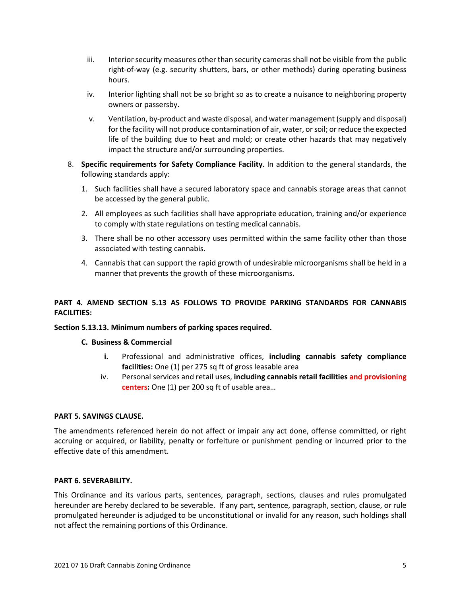- iii. Interior security measures other than security cameras shall not be visible from the public right-of-way (e.g. security shutters, bars, or other methods) during operating business hours.
- iv. Interior lighting shall not be so bright so as to create a nuisance to neighboring property owners or passersby.
- v. Ventilation, by-product and waste disposal, and water management (supply and disposal) for the facility will not produce contamination of air, water, or soil; or reduce the expected life of the building due to heat and mold; or create other hazards that may negatively impact the structure and/or surrounding properties.
- 8. **Specific requirements for Safety Compliance Facility**. In addition to the general standards, the following standards apply:
	- 1. Such facilities shall have a secured laboratory space and cannabis storage areas that cannot be accessed by the general public.
	- 2. All employees as such facilities shall have appropriate education, training and/or experience to comply with state regulations on testing medical cannabis.
	- 3. There shall be no other accessory uses permitted within the same facility other than those associated with testing cannabis.
	- 4. Cannabis that can support the rapid growth of undesirable microorganisms shall be held in a manner that prevents the growth of these microorganisms.

# **PART 4. AMEND SECTION 5.13 AS FOLLOWS TO PROVIDE PARKING STANDARDS FOR CANNABIS FACILITIES:**

# **Section 5.13.13. Minimum numbers of parking spaces required.**

# **C. Business & Commercial**

- **i.** Professional and administrative offices, **including cannabis safety compliance facilities:** One (1) per 275 sq ft of gross leasable area
- iv. Personal services and retail uses, **including cannabis retail facilities and provisioning centers:** One (1) per 200 sq ft of usable area…

# **PART 5. SAVINGS CLAUSE.**

The amendments referenced herein do not affect or impair any act done, offense committed, or right accruing or acquired, or liability, penalty or forfeiture or punishment pending or incurred prior to the effective date of this amendment.

# **PART 6. SEVERABILITY.**

This Ordinance and its various parts, sentences, paragraph, sections, clauses and rules promulgated hereunder are hereby declared to be severable. If any part, sentence, paragraph, section, clause, or rule promulgated hereunder is adjudged to be unconstitutional or invalid for any reason, such holdings shall not affect the remaining portions of this Ordinance.